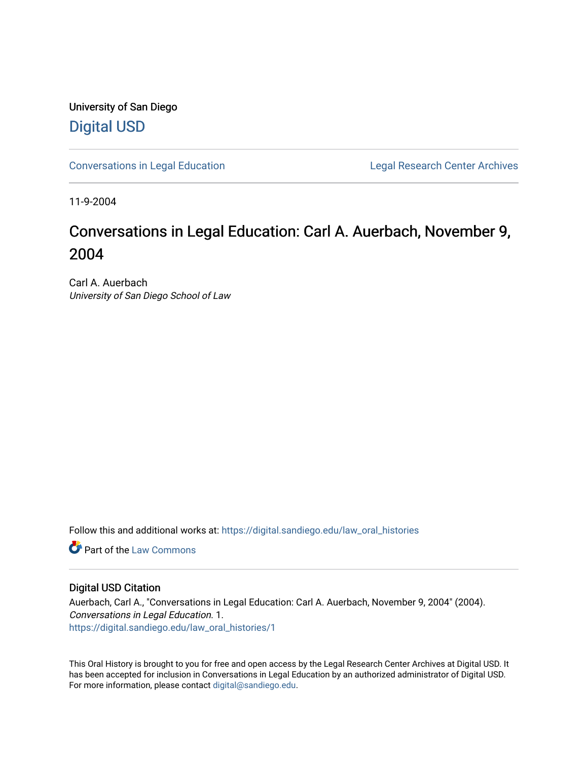University of San Diego [Digital USD](https://digital.sandiego.edu/)

[Conversations in Legal Education](https://digital.sandiego.edu/law_oral_histories) **Legal Research Center Archives** 

11-9-2004

# Conversations in Legal Education: Carl A. Auerbach, November 9, 2004

Carl A. Auerbach University of San Diego School of Law

Follow this and additional works at: [https://digital.sandiego.edu/law\\_oral\\_histories](https://digital.sandiego.edu/law_oral_histories?utm_source=digital.sandiego.edu%2Flaw_oral_histories%2F1&utm_medium=PDF&utm_campaign=PDFCoverPages) 

**C** Part of the [Law Commons](http://network.bepress.com/hgg/discipline/578?utm_source=digital.sandiego.edu%2Flaw_oral_histories%2F1&utm_medium=PDF&utm_campaign=PDFCoverPages)

#### Digital USD Citation

Auerbach, Carl A., "Conversations in Legal Education: Carl A. Auerbach, November 9, 2004" (2004). Conversations in Legal Education. 1. [https://digital.sandiego.edu/law\\_oral\\_histories/1](https://digital.sandiego.edu/law_oral_histories/1?utm_source=digital.sandiego.edu%2Flaw_oral_histories%2F1&utm_medium=PDF&utm_campaign=PDFCoverPages)

This Oral History is brought to you for free and open access by the Legal Research Center Archives at Digital USD. It has been accepted for inclusion in Conversations in Legal Education by an authorized administrator of Digital USD. For more information, please contact [digital@sandiego.edu](mailto:digital@sandiego.edu).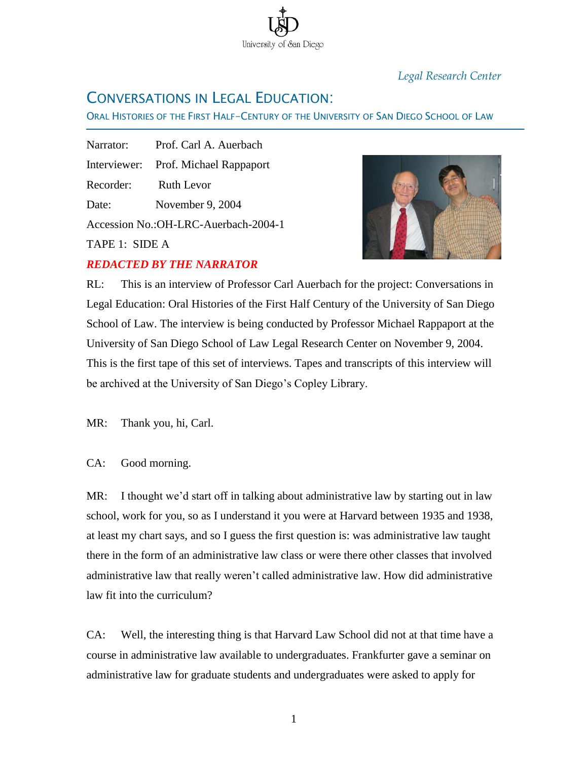*Legal Research Center*

# CONVERSATIONS IN LEGAL EDUCATION:

ORAL HISTORIES OF THE FIRST HALF-CENTURY OF THE UNIVERSITY OF SAN DIEGO SCHOOL OF LAW

University of San Diego

Narrator: Prof. Carl A. Auerbach Interviewer: Prof. Michael Rappaport Recorder: Ruth Levor Date: November 9, 2004 Accession No.:OH-LRC-Auerbach-2004-1

TAPE 1: SIDE A

Ī

### *REDACTED BY THE NARRATOR*



RL: This is an interview of Professor Carl Auerbach for the project: Conversations in Legal Education: Oral Histories of the First Half Century of the University of San Diego School of Law. The interview is being conducted by Professor Michael Rappaport at the University of San Diego School of Law Legal Research Center on November 9, 2004. This is the first tape of this set of interviews. Tapes and transcripts of this interview will be archived at the University of San Diego's Copley Library.

MR: Thank you, hi, Carl.

CA: Good morning.

MR: I thought we'd start off in talking about administrative law by starting out in law school, work for you, so as I understand it you were at Harvard between 1935 and 1938, at least my chart says, and so I guess the first question is: was administrative law taught there in the form of an administrative law class or were there other classes that involved administrative law that really weren't called administrative law. How did administrative law fit into the curriculum?

CA: Well, the interesting thing is that Harvard Law School did not at that time have a course in administrative law available to undergraduates. Frankfurter gave a seminar on administrative law for graduate students and undergraduates were asked to apply for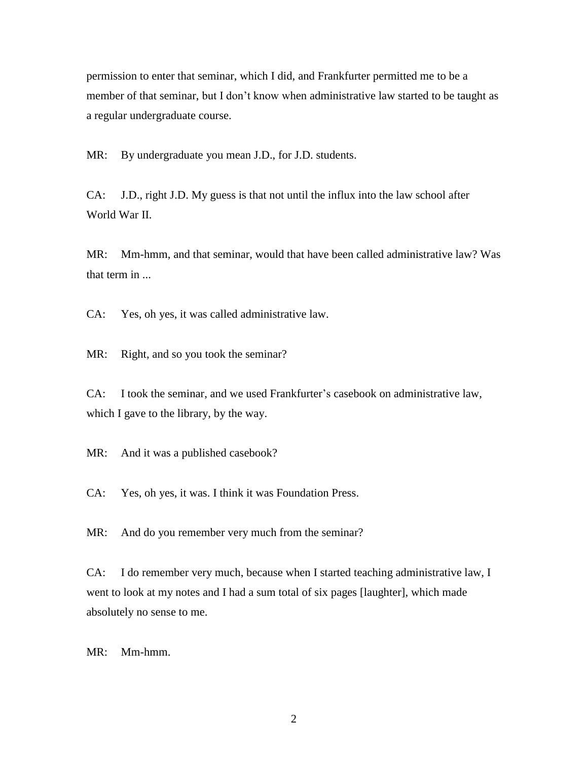permission to enter that seminar, which I did, and Frankfurter permitted me to be a member of that seminar, but I don't know when administrative law started to be taught as a regular undergraduate course.

MR: By undergraduate you mean J.D., for J.D. students.

CA: J.D., right J.D. My guess is that not until the influx into the law school after World War II.

MR: Mm-hmm, and that seminar, would that have been called administrative law? Was that term in ...

CA: Yes, oh yes, it was called administrative law.

MR: Right, and so you took the seminar?

CA: I took the seminar, and we used Frankfurter's casebook on administrative law, which I gave to the library, by the way.

MR: And it was a published casebook?

CA: Yes, oh yes, it was. I think it was Foundation Press.

MR: And do you remember very much from the seminar?

CA: I do remember very much, because when I started teaching administrative law, I went to look at my notes and I had a sum total of six pages [laughter], which made absolutely no sense to me.

MR: Mm-hmm.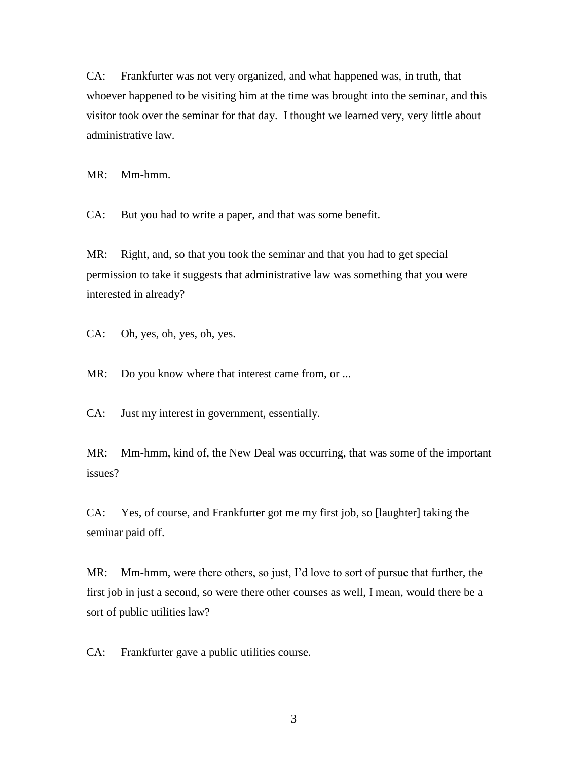CA: Frankfurter was not very organized, and what happened was, in truth, that whoever happened to be visiting him at the time was brought into the seminar, and this visitor took over the seminar for that day. I thought we learned very, very little about administrative law.

MR: Mm-hmm.

CA: But you had to write a paper, and that was some benefit.

MR: Right, and, so that you took the seminar and that you had to get special permission to take it suggests that administrative law was something that you were interested in already?

CA: Oh, yes, oh, yes, oh, yes.

MR: Do you know where that interest came from, or ...

CA: Just my interest in government, essentially.

MR: Mm-hmm, kind of, the New Deal was occurring, that was some of the important issues?

CA: Yes, of course, and Frankfurter got me my first job, so [laughter] taking the seminar paid off.

MR: Mm-hmm, were there others, so just, I'd love to sort of pursue that further, the first job in just a second, so were there other courses as well, I mean, would there be a sort of public utilities law?

CA: Frankfurter gave a public utilities course.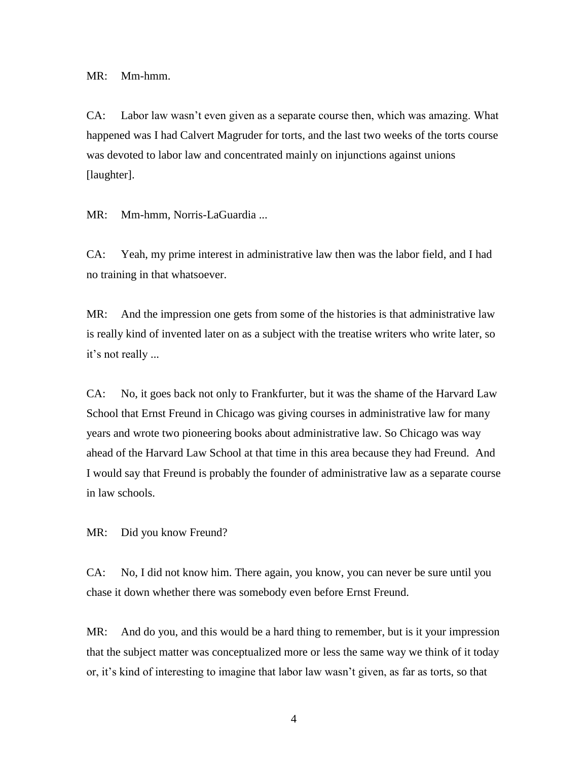MR: Mm-hmm.

CA: Labor law wasn't even given as a separate course then, which was amazing. What happened was I had Calvert Magruder for torts, and the last two weeks of the torts course was devoted to labor law and concentrated mainly on injunctions against unions [laughter].

MR: Mm-hmm, Norris-LaGuardia ...

CA: Yeah, my prime interest in administrative law then was the labor field, and I had no training in that whatsoever.

MR: And the impression one gets from some of the histories is that administrative law is really kind of invented later on as a subject with the treatise writers who write later, so it's not really ...

CA: No, it goes back not only to Frankfurter, but it was the shame of the Harvard Law School that Ernst Freund in Chicago was giving courses in administrative law for many years and wrote two pioneering books about administrative law. So Chicago was way ahead of the Harvard Law School at that time in this area because they had Freund. And I would say that Freund is probably the founder of administrative law as a separate course in law schools.

MR: Did you know Freund?

CA: No, I did not know him. There again, you know, you can never be sure until you chase it down whether there was somebody even before Ernst Freund.

MR: And do you, and this would be a hard thing to remember, but is it your impression that the subject matter was conceptualized more or less the same way we think of it today or, it's kind of interesting to imagine that labor law wasn't given, as far as torts, so that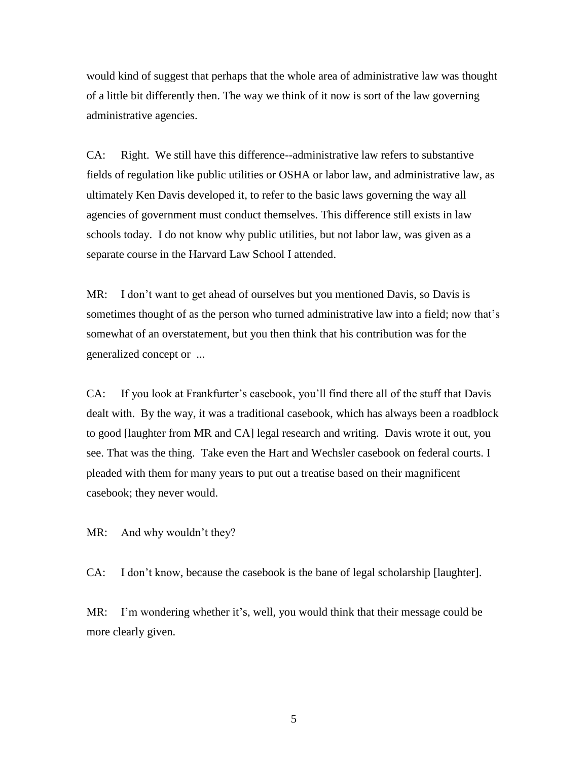would kind of suggest that perhaps that the whole area of administrative law was thought of a little bit differently then. The way we think of it now is sort of the law governing administrative agencies.

CA: Right. We still have this difference--administrative law refers to substantive fields of regulation like public utilities or OSHA or labor law, and administrative law, as ultimately Ken Davis developed it, to refer to the basic laws governing the way all agencies of government must conduct themselves. This difference still exists in law schools today. I do not know why public utilities, but not labor law, was given as a separate course in the Harvard Law School I attended.

MR: I don't want to get ahead of ourselves but you mentioned Davis, so Davis is sometimes thought of as the person who turned administrative law into a field; now that's somewhat of an overstatement, but you then think that his contribution was for the generalized concept or ...

CA: If you look at Frankfurter's casebook, you'll find there all of the stuff that Davis dealt with. By the way, it was a traditional casebook, which has always been a roadblock to good [laughter from MR and CA] legal research and writing. Davis wrote it out, you see. That was the thing. Take even the Hart and Wechsler casebook on federal courts. I pleaded with them for many years to put out a treatise based on their magnificent casebook; they never would.

MR: And why wouldn't they?

CA: I don't know, because the casebook is the bane of legal scholarship [laughter].

MR: I'm wondering whether it's, well, you would think that their message could be more clearly given.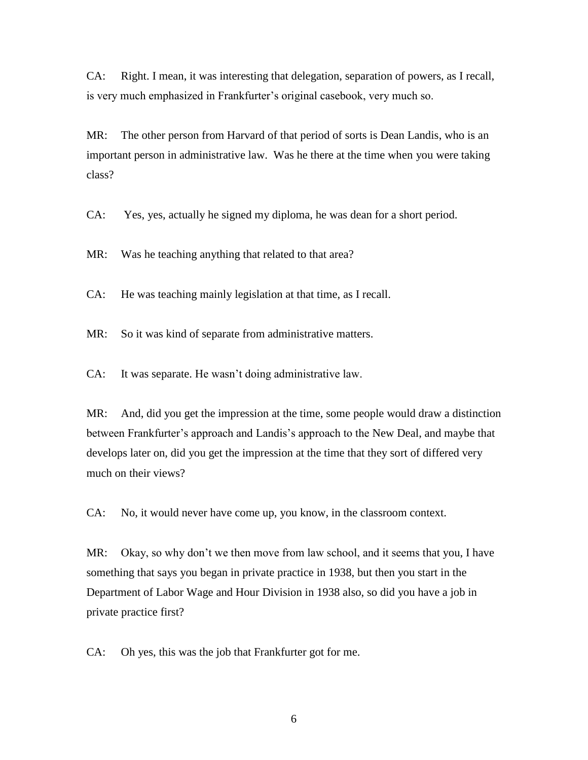CA: Right. I mean, it was interesting that delegation, separation of powers, as I recall, is very much emphasized in Frankfurter's original casebook, very much so.

MR: The other person from Harvard of that period of sorts is Dean Landis, who is an important person in administrative law. Was he there at the time when you were taking class?

CA: Yes, yes, actually he signed my diploma, he was dean for a short period.

MR: Was he teaching anything that related to that area?

CA: He was teaching mainly legislation at that time, as I recall.

MR: So it was kind of separate from administrative matters.

CA: It was separate. He wasn't doing administrative law.

MR: And, did you get the impression at the time, some people would draw a distinction between Frankfurter's approach and Landis's approach to the New Deal, and maybe that develops later on, did you get the impression at the time that they sort of differed very much on their views?

CA: No, it would never have come up, you know, in the classroom context.

MR: Okay, so why don't we then move from law school, and it seems that you, I have something that says you began in private practice in 1938, but then you start in the Department of Labor Wage and Hour Division in 1938 also, so did you have a job in private practice first?

CA: Oh yes, this was the job that Frankfurter got for me.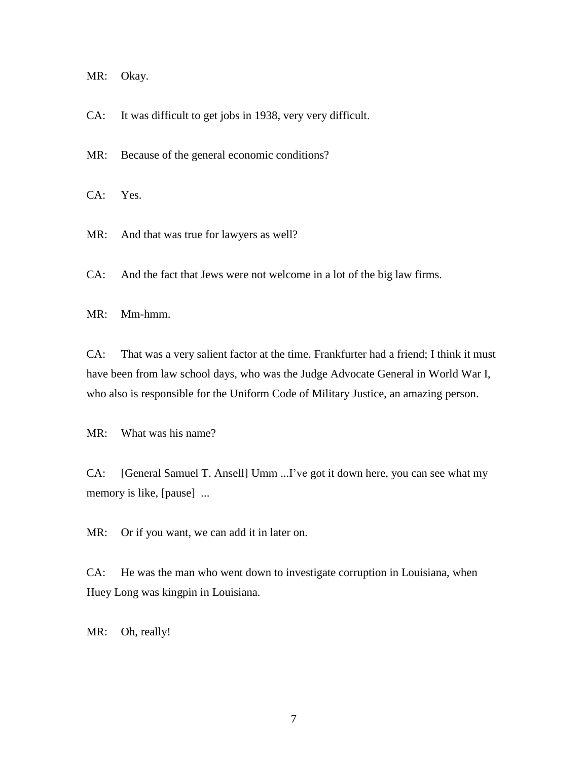MR: Okay.

CA: It was difficult to get jobs in 1938, very very difficult.

MR: Because of the general economic conditions?

CA: Yes.

MR: And that was true for lawyers as well?

CA: And the fact that Jews were not welcome in a lot of the big law firms.

MR: Mm-hmm.

CA: That was a very salient factor at the time. Frankfurter had a friend; I think it must have been from law school days, who was the Judge Advocate General in World War I, who also is responsible for the Uniform Code of Military Justice, an amazing person.

MR: What was his name?

CA: [General Samuel T. Ansell] Umm ...I've got it down here, you can see what my memory is like, [pause] ...

MR: Or if you want, we can add it in later on.

CA: He was the man who went down to investigate corruption in Louisiana, when Huey Long was kingpin in Louisiana.

MR: Oh, really!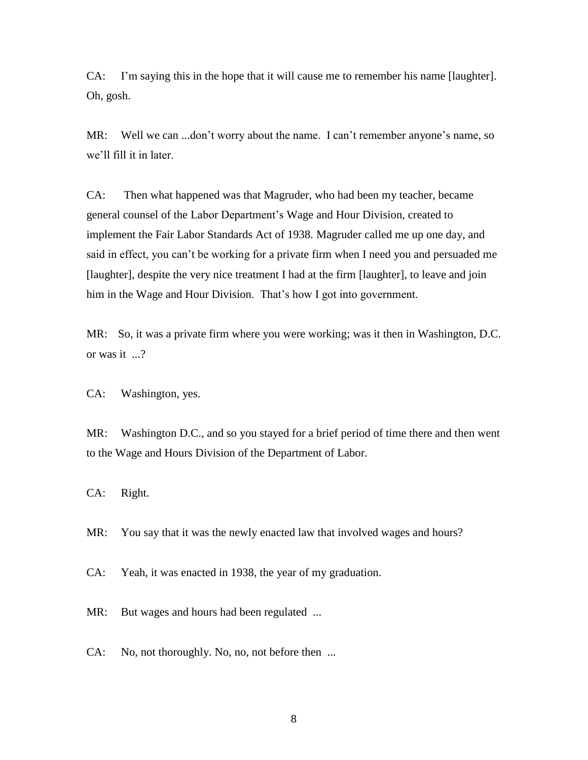CA: I'm saying this in the hope that it will cause me to remember his name [laughter]. Oh, gosh.

MR: Well we can ...don't worry about the name. I can't remember anyone's name, so we'll fill it in later.

CA: Then what happened was that Magruder, who had been my teacher, became general counsel of the Labor Department's Wage and Hour Division, created to implement the Fair Labor Standards Act of 1938. Magruder called me up one day, and said in effect, you can't be working for a private firm when I need you and persuaded me [laughter], despite the very nice treatment I had at the firm [laughter], to leave and join him in the Wage and Hour Division. That's how I got into government.

MR: So, it was a private firm where you were working; was it then in Washington, D.C. or was it ...?

CA: Washington, yes.

MR: Washington D.C., and so you stayed for a brief period of time there and then went to the Wage and Hours Division of the Department of Labor.

CA: Right.

MR: You say that it was the newly enacted law that involved wages and hours?

CA: Yeah, it was enacted in 1938, the year of my graduation.

MR: But wages and hours had been regulated ...

CA: No, not thoroughly. No, no, not before then ...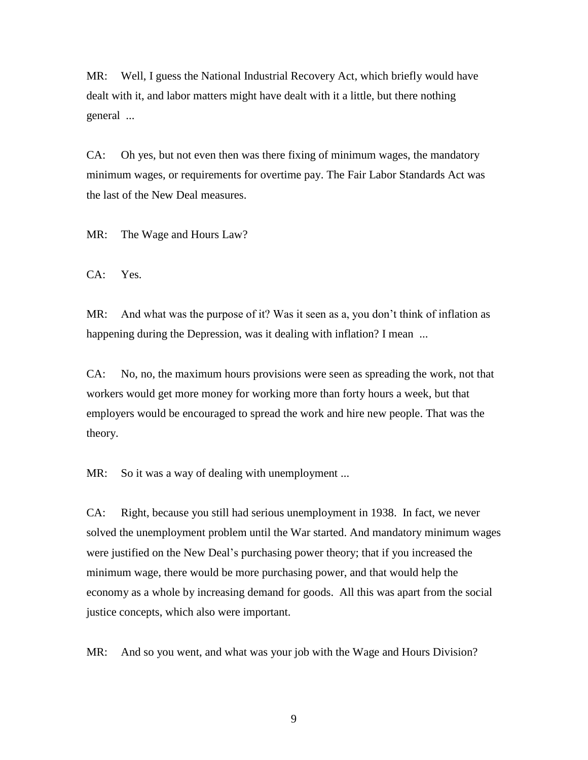MR: Well, I guess the National Industrial Recovery Act, which briefly would have dealt with it, and labor matters might have dealt with it a little, but there nothing general ...

CA: Oh yes, but not even then was there fixing of minimum wages, the mandatory minimum wages, or requirements for overtime pay. The Fair Labor Standards Act was the last of the New Deal measures.

MR: The Wage and Hours Law?

CA: Yes.

MR: And what was the purpose of it? Was it seen as a, you don't think of inflation as happening during the Depression, was it dealing with inflation? I mean ...

CA: No, no, the maximum hours provisions were seen as spreading the work, not that workers would get more money for working more than forty hours a week, but that employers would be encouraged to spread the work and hire new people. That was the theory.

MR: So it was a way of dealing with unemployment ...

CA: Right, because you still had serious unemployment in 1938. In fact, we never solved the unemployment problem until the War started. And mandatory minimum wages were justified on the New Deal's purchasing power theory; that if you increased the minimum wage, there would be more purchasing power, and that would help the economy as a whole by increasing demand for goods. All this was apart from the social justice concepts, which also were important.

MR: And so you went, and what was your job with the Wage and Hours Division?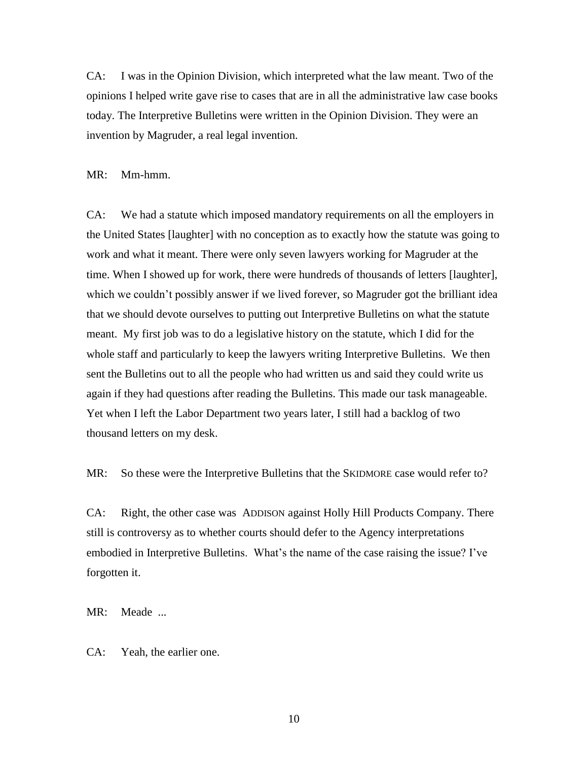CA: I was in the Opinion Division, which interpreted what the law meant. Two of the opinions I helped write gave rise to cases that are in all the administrative law case books today. The Interpretive Bulletins were written in the Opinion Division. They were an invention by Magruder, a real legal invention.

#### MR: Mm-hmm.

CA: We had a statute which imposed mandatory requirements on all the employers in the United States [laughter] with no conception as to exactly how the statute was going to work and what it meant. There were only seven lawyers working for Magruder at the time. When I showed up for work, there were hundreds of thousands of letters [laughter], which we couldn't possibly answer if we lived forever, so Magruder got the brilliant idea that we should devote ourselves to putting out Interpretive Bulletins on what the statute meant. My first job was to do a legislative history on the statute, which I did for the whole staff and particularly to keep the lawyers writing Interpretive Bulletins. We then sent the Bulletins out to all the people who had written us and said they could write us again if they had questions after reading the Bulletins. This made our task manageable. Yet when I left the Labor Department two years later, I still had a backlog of two thousand letters on my desk.

MR: So these were the Interpretive Bulletins that the SKIDMORE case would refer to?

CA: Right, the other case was ADDISON against Holly Hill Products Company. There still is controversy as to whether courts should defer to the Agency interpretations embodied in Interpretive Bulletins. What's the name of the case raising the issue? I've forgotten it.

MR: Meade ...

CA: Yeah, the earlier one.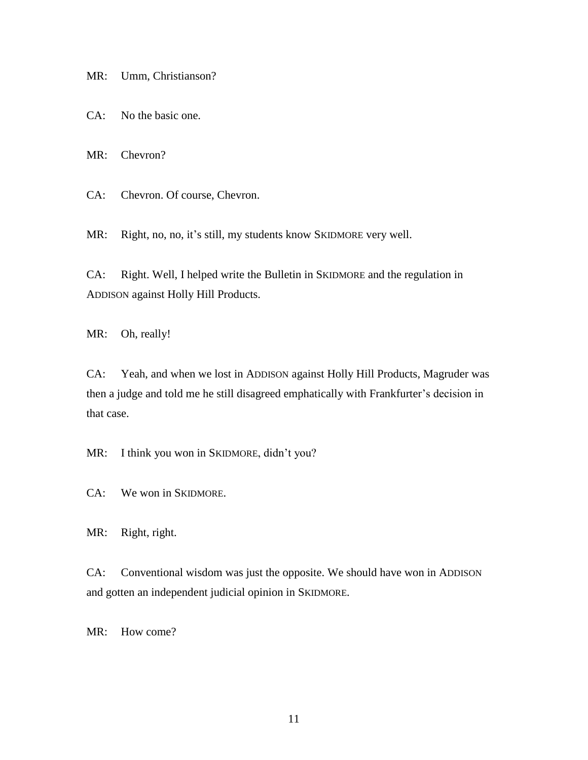MR: Umm, Christianson?

CA: No the basic one.

MR: Chevron?

CA: Chevron. Of course, Chevron.

MR: Right, no, no, it's still, my students know SKIDMORE very well.

CA: Right. Well, I helped write the Bulletin in SKIDMORE and the regulation in ADDISON against Holly Hill Products.

MR: Oh, really!

CA: Yeah, and when we lost in ADDISON against Holly Hill Products, Magruder was then a judge and told me he still disagreed emphatically with Frankfurter's decision in that case.

MR: I think you won in SKIDMORE, didn't you?

CA: We won in SKIDMORE.

MR: Right, right.

CA: Conventional wisdom was just the opposite. We should have won in ADDISON and gotten an independent judicial opinion in SKIDMORE.

MR: How come?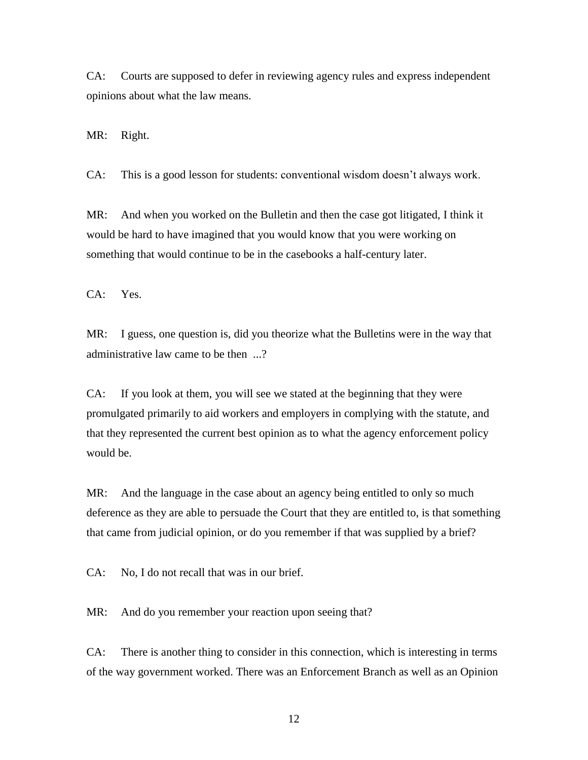CA: Courts are supposed to defer in reviewing agency rules and express independent opinions about what the law means.

MR: Right.

CA: This is a good lesson for students: conventional wisdom doesn't always work.

MR: And when you worked on the Bulletin and then the case got litigated, I think it would be hard to have imagined that you would know that you were working on something that would continue to be in the casebooks a half-century later.

CA: Yes.

MR: I guess, one question is, did you theorize what the Bulletins were in the way that administrative law came to be then ...?

CA: If you look at them, you will see we stated at the beginning that they were promulgated primarily to aid workers and employers in complying with the statute, and that they represented the current best opinion as to what the agency enforcement policy would be.

MR: And the language in the case about an agency being entitled to only so much deference as they are able to persuade the Court that they are entitled to, is that something that came from judicial opinion, or do you remember if that was supplied by a brief?

CA: No, I do not recall that was in our brief.

MR: And do you remember your reaction upon seeing that?

CA: There is another thing to consider in this connection, which is interesting in terms of the way government worked. There was an Enforcement Branch as well as an Opinion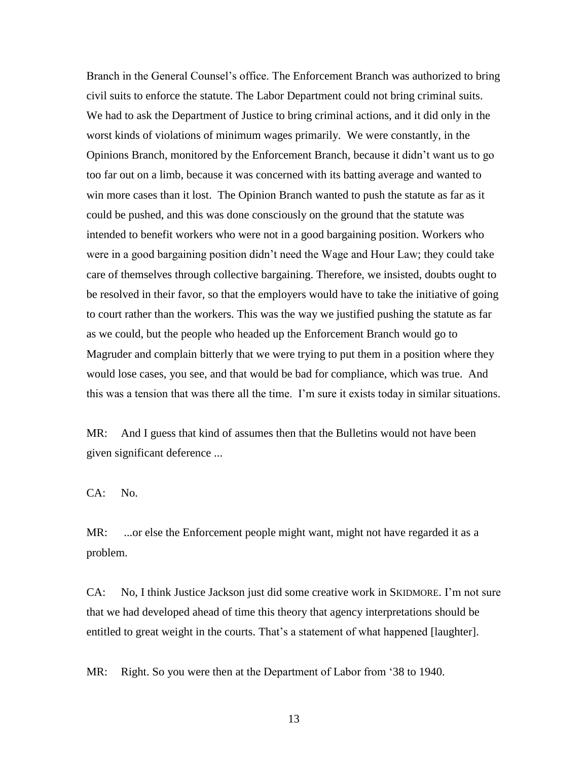Branch in the General Counsel's office. The Enforcement Branch was authorized to bring civil suits to enforce the statute. The Labor Department could not bring criminal suits. We had to ask the Department of Justice to bring criminal actions, and it did only in the worst kinds of violations of minimum wages primarily. We were constantly, in the Opinions Branch, monitored by the Enforcement Branch, because it didn't want us to go too far out on a limb, because it was concerned with its batting average and wanted to win more cases than it lost. The Opinion Branch wanted to push the statute as far as it could be pushed, and this was done consciously on the ground that the statute was intended to benefit workers who were not in a good bargaining position. Workers who were in a good bargaining position didn't need the Wage and Hour Law; they could take care of themselves through collective bargaining. Therefore, we insisted, doubts ought to be resolved in their favor, so that the employers would have to take the initiative of going to court rather than the workers. This was the way we justified pushing the statute as far as we could, but the people who headed up the Enforcement Branch would go to Magruder and complain bitterly that we were trying to put them in a position where they would lose cases, you see, and that would be bad for compliance, which was true. And this was a tension that was there all the time. I'm sure it exists today in similar situations.

MR: And I guess that kind of assumes then that the Bulletins would not have been given significant deference ...

CA: No.

MR: ...or else the Enforcement people might want, might not have regarded it as a problem.

CA: No, I think Justice Jackson just did some creative work in SKIDMORE. I'm not sure that we had developed ahead of time this theory that agency interpretations should be entitled to great weight in the courts. That's a statement of what happened [laughter].

MR: Right. So you were then at the Department of Labor from '38 to 1940.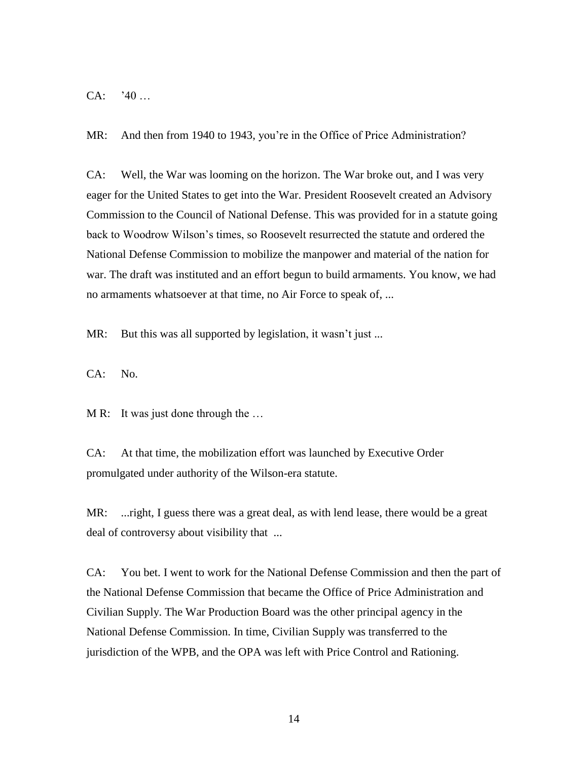CA: '40 …

MR: And then from 1940 to 1943, you're in the Office of Price Administration?

CA: Well, the War was looming on the horizon. The War broke out, and I was very eager for the United States to get into the War. President Roosevelt created an Advisory Commission to the Council of National Defense. This was provided for in a statute going back to Woodrow Wilson's times, so Roosevelt resurrected the statute and ordered the National Defense Commission to mobilize the manpower and material of the nation for war. The draft was instituted and an effort begun to build armaments. You know, we had no armaments whatsoever at that time, no Air Force to speak of, ...

MR: But this was all supported by legislation, it wasn't just ...

CA: No.

M R: It was just done through the ...

CA: At that time, the mobilization effort was launched by Executive Order promulgated under authority of the Wilson-era statute.

MR: ...right, I guess there was a great deal, as with lend lease, there would be a great deal of controversy about visibility that ...

CA: You bet. I went to work for the National Defense Commission and then the part of the National Defense Commission that became the Office of Price Administration and Civilian Supply. The War Production Board was the other principal agency in the National Defense Commission. In time, Civilian Supply was transferred to the jurisdiction of the WPB, and the OPA was left with Price Control and Rationing.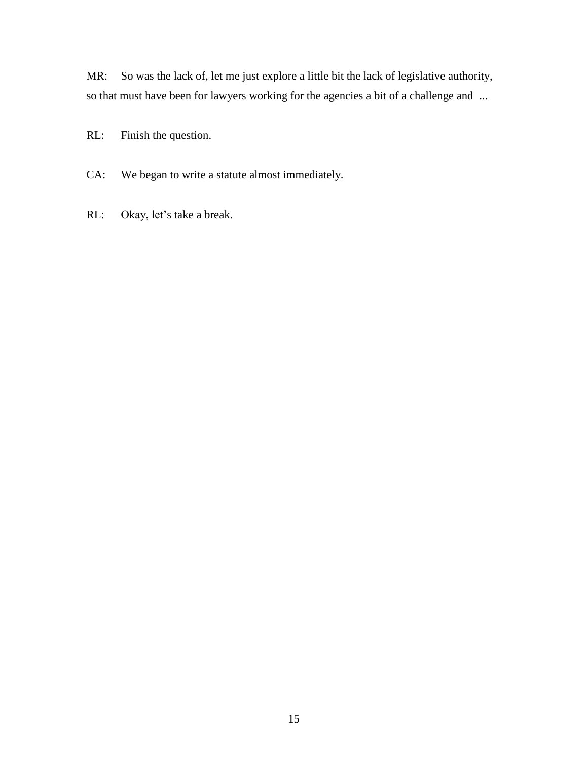MR: So was the lack of, let me just explore a little bit the lack of legislative authority, so that must have been for lawyers working for the agencies a bit of a challenge and ...

RL: Finish the question.

CA: We began to write a statute almost immediately.

RL: Okay, let's take a break.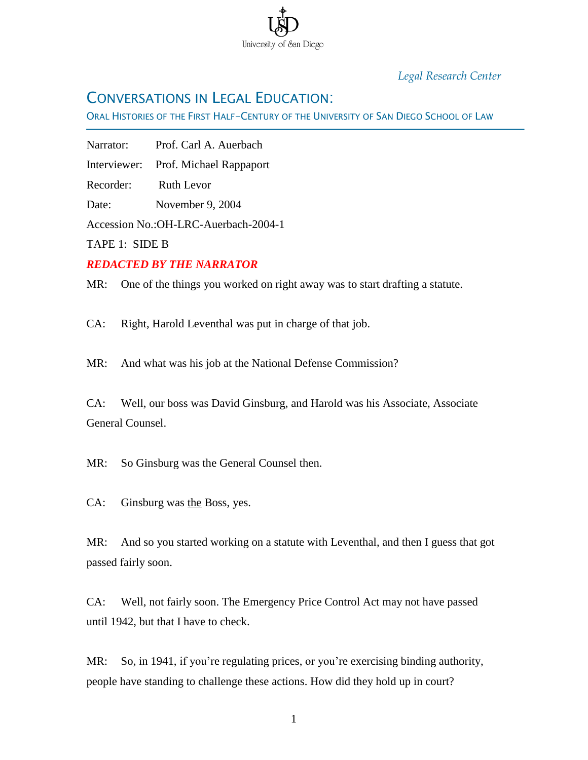

## *Legal Research Center*

# CONVERSATIONS IN LEGAL EDUCATION:

ORAL HISTORIES OF THE FIRST HALF-CENTURY OF THE UNIVERSITY OF SAN DIEGO SCHOOL OF LAW

Narrator: Prof. Carl A. Auerbach

Interviewer: Prof. Michael Rappaport

Recorder: Ruth Levor

Date: November 9, 2004

Accession No.:OH-LRC-Auerbach-2004-1

TAPE 1: SIDE B

Ī

### *REDACTED BY THE NARRATOR*

MR: One of the things you worked on right away was to start drafting a statute.

CA: Right, Harold Leventhal was put in charge of that job.

MR: And what was his job at the National Defense Commission?

CA: Well, our boss was David Ginsburg, and Harold was his Associate, Associate General Counsel.

MR: So Ginsburg was the General Counsel then.

CA: Ginsburg was the Boss, yes.

MR: And so you started working on a statute with Leventhal, and then I guess that got passed fairly soon.

CA: Well, not fairly soon. The Emergency Price Control Act may not have passed until 1942, but that I have to check.

MR: So, in 1941, if you're regulating prices, or you're exercising binding authority, people have standing to challenge these actions. How did they hold up in court?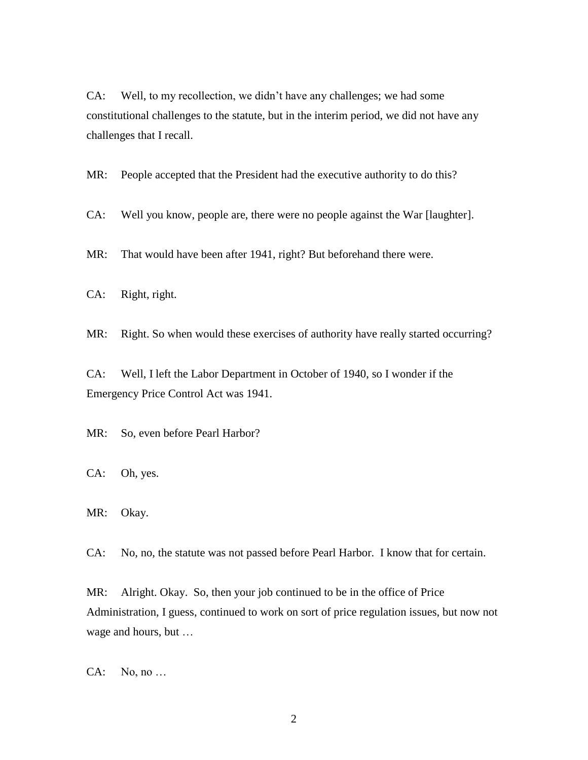CA: Well, to my recollection, we didn't have any challenges; we had some constitutional challenges to the statute, but in the interim period, we did not have any challenges that I recall.

MR: People accepted that the President had the executive authority to do this?

CA: Well you know, people are, there were no people against the War [laughter].

MR: That would have been after 1941, right? But beforehand there were.

CA: Right, right.

MR: Right. So when would these exercises of authority have really started occurring?

CA: Well, I left the Labor Department in October of 1940, so I wonder if the Emergency Price Control Act was 1941.

MR: So, even before Pearl Harbor?

CA: Oh, yes.

MR: Okay.

CA: No, no, the statute was not passed before Pearl Harbor. I know that for certain.

MR: Alright. Okay. So, then your job continued to be in the office of Price Administration, I guess, continued to work on sort of price regulation issues, but now not wage and hours, but …

CA: No, no …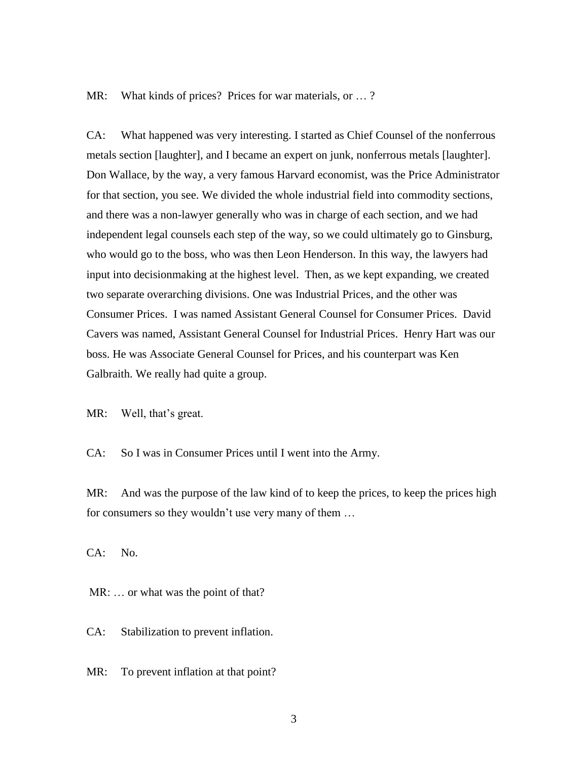MR: What kinds of prices? Prices for war materials, or ...?

CA: What happened was very interesting. I started as Chief Counsel of the nonferrous metals section [laughter], and I became an expert on junk, nonferrous metals [laughter]. Don Wallace, by the way, a very famous Harvard economist, was the Price Administrator for that section, you see. We divided the whole industrial field into commodity sections, and there was a non-lawyer generally who was in charge of each section, and we had independent legal counsels each step of the way, so we could ultimately go to Ginsburg, who would go to the boss, who was then Leon Henderson. In this way, the lawyers had input into decisionmaking at the highest level. Then, as we kept expanding, we created two separate overarching divisions. One was Industrial Prices, and the other was Consumer Prices. I was named Assistant General Counsel for Consumer Prices. David Cavers was named, Assistant General Counsel for Industrial Prices. Henry Hart was our boss. He was Associate General Counsel for Prices, and his counterpart was Ken Galbraith. We really had quite a group.

MR: Well, that's great.

CA: So I was in Consumer Prices until I went into the Army.

MR: And was the purpose of the law kind of to keep the prices, to keep the prices high for consumers so they wouldn't use very many of them …

CA: No.

MR: ... or what was the point of that?

CA: Stabilization to prevent inflation.

MR: To prevent inflation at that point?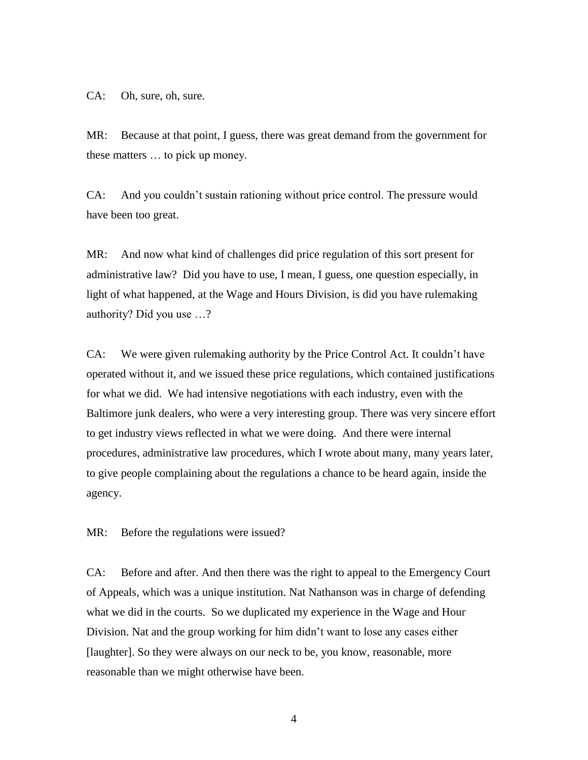CA: Oh, sure, oh, sure.

MR: Because at that point, I guess, there was great demand from the government for these matters … to pick up money.

CA: And you couldn't sustain rationing without price control. The pressure would have been too great.

MR: And now what kind of challenges did price regulation of this sort present for administrative law? Did you have to use, I mean, I guess, one question especially, in light of what happened, at the Wage and Hours Division, is did you have rulemaking authority? Did you use …?

CA: We were given rulemaking authority by the Price Control Act. It couldn't have operated without it, and we issued these price regulations, which contained justifications for what we did. We had intensive negotiations with each industry, even with the Baltimore junk dealers, who were a very interesting group. There was very sincere effort to get industry views reflected in what we were doing. And there were internal procedures, administrative law procedures, which I wrote about many, many years later, to give people complaining about the regulations a chance to be heard again, inside the agency.

MR: Before the regulations were issued?

CA: Before and after. And then there was the right to appeal to the Emergency Court of Appeals, which was a unique institution. Nat Nathanson was in charge of defending what we did in the courts. So we duplicated my experience in the Wage and Hour Division. Nat and the group working for him didn't want to lose any cases either [laughter]. So they were always on our neck to be, you know, reasonable, more reasonable than we might otherwise have been.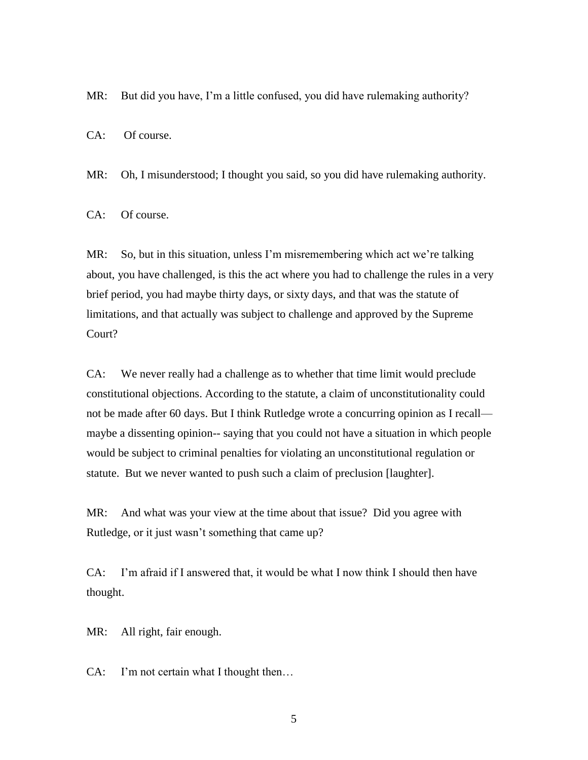MR: But did you have, I'm a little confused, you did have rulemaking authority?

CA: Of course.

MR: Oh, I misunderstood; I thought you said, so you did have rulemaking authority.

CA: Of course.

MR: So, but in this situation, unless I'm misremembering which act we're talking about, you have challenged, is this the act where you had to challenge the rules in a very brief period, you had maybe thirty days, or sixty days, and that was the statute of limitations, and that actually was subject to challenge and approved by the Supreme Court?

CA: We never really had a challenge as to whether that time limit would preclude constitutional objections. According to the statute, a claim of unconstitutionality could not be made after 60 days. But I think Rutledge wrote a concurring opinion as I recall maybe a dissenting opinion-- saying that you could not have a situation in which people would be subject to criminal penalties for violating an unconstitutional regulation or statute. But we never wanted to push such a claim of preclusion [laughter].

MR: And what was your view at the time about that issue? Did you agree with Rutledge, or it just wasn't something that came up?

CA: I'm afraid if I answered that, it would be what I now think I should then have thought.

MR: All right, fair enough.

CA: I'm not certain what I thought then…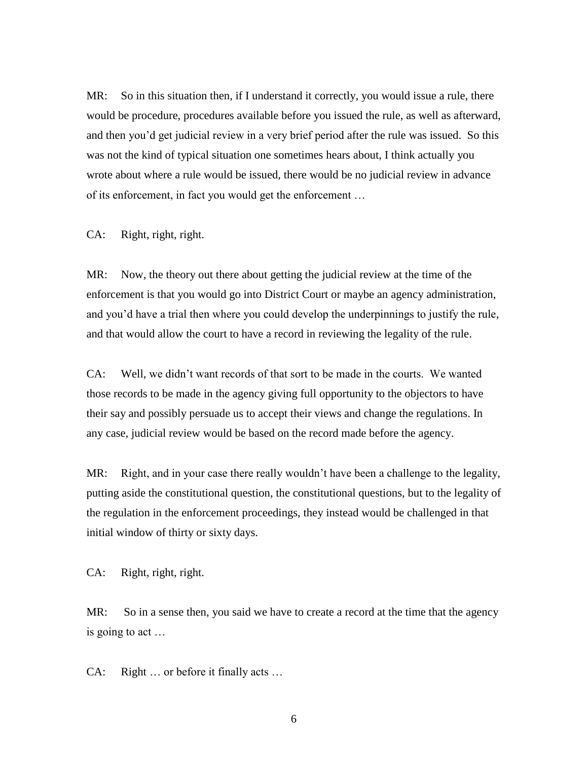MR: So in this situation then, if I understand it correctly, you would issue a rule, there would be procedure, procedures available before you issued the rule, as well as afterward, and then you'd get judicial review in a very brief period after the rule was issued. So this was not the kind of typical situation one sometimes hears about, I think actually you wrote about where a rule would be issued, there would be no judicial review in advance of its enforcement, in fact you would get the enforcement …

CA: Right, right, right.

MR: Now, the theory out there about getting the judicial review at the time of the enforcement is that you would go into District Court or maybe an agency administration, and you'd have a trial then where you could develop the underpinnings to justify the rule, and that would allow the court to have a record in reviewing the legality of the rule.

CA: Well, we didn't want records of that sort to be made in the courts. We wanted those records to be made in the agency giving full opportunity to the objectors to have their say and possibly persuade us to accept their views and change the regulations. In any case, judicial review would be based on the record made before the agency.

MR: Right, and in your case there really wouldn't have been a challenge to the legality, putting aside the constitutional question, the constitutional questions, but to the legality of the regulation in the enforcement proceedings, they instead would be challenged in that initial window of thirty or sixty days.

CA: Right, right, right.

MR: So in a sense then, you said we have to create a record at the time that the agency is going to act …

CA: Right … or before it finally acts …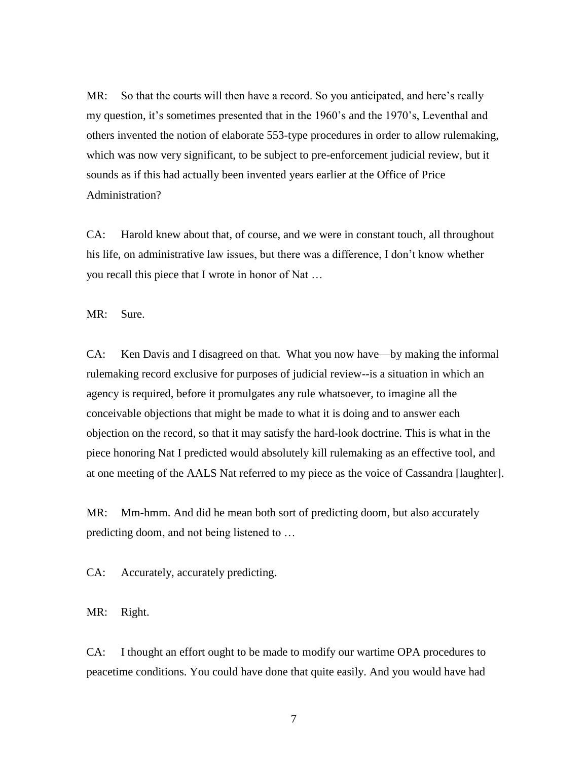MR: So that the courts will then have a record. So you anticipated, and here's really my question, it's sometimes presented that in the 1960's and the 1970's, Leventhal and others invented the notion of elaborate 553-type procedures in order to allow rulemaking, which was now very significant, to be subject to pre-enforcement judicial review, but it sounds as if this had actually been invented years earlier at the Office of Price Administration?

CA: Harold knew about that, of course, and we were in constant touch, all throughout his life, on administrative law issues, but there was a difference, I don't know whether you recall this piece that I wrote in honor of Nat …

MR: Sure.

CA: Ken Davis and I disagreed on that. What you now have—by making the informal rulemaking record exclusive for purposes of judicial review--is a situation in which an agency is required, before it promulgates any rule whatsoever, to imagine all the conceivable objections that might be made to what it is doing and to answer each objection on the record, so that it may satisfy the hard-look doctrine. This is what in the piece honoring Nat I predicted would absolutely kill rulemaking as an effective tool, and at one meeting of the AALS Nat referred to my piece as the voice of Cassandra [laughter].

MR: Mm-hmm. And did he mean both sort of predicting doom, but also accurately predicting doom, and not being listened to …

CA: Accurately, accurately predicting.

MR: Right.

CA: I thought an effort ought to be made to modify our wartime OPA procedures to peacetime conditions. You could have done that quite easily. And you would have had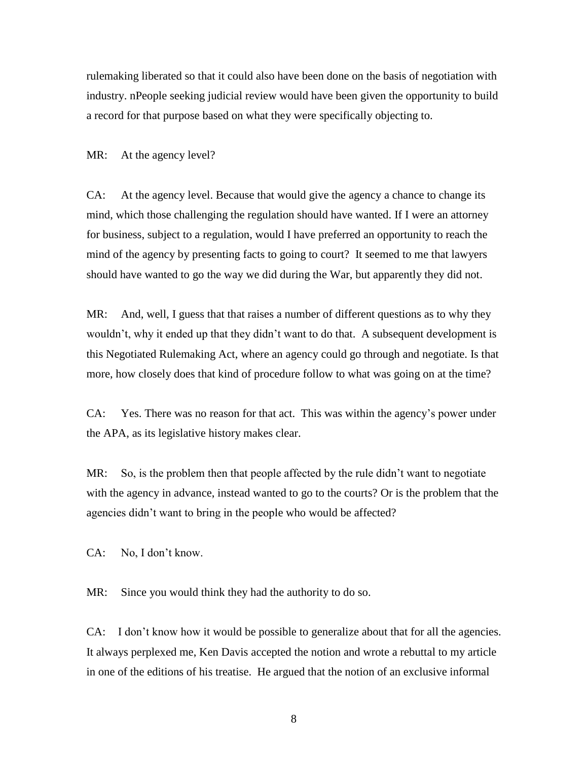rulemaking liberated so that it could also have been done on the basis of negotiation with industry. nPeople seeking judicial review would have been given the opportunity to build a record for that purpose based on what they were specifically objecting to.

MR: At the agency level?

CA: At the agency level. Because that would give the agency a chance to change its mind, which those challenging the regulation should have wanted. If I were an attorney for business, subject to a regulation, would I have preferred an opportunity to reach the mind of the agency by presenting facts to going to court? It seemed to me that lawyers should have wanted to go the way we did during the War, but apparently they did not.

MR: And, well, I guess that that raises a number of different questions as to why they wouldn't, why it ended up that they didn't want to do that. A subsequent development is this Negotiated Rulemaking Act, where an agency could go through and negotiate. Is that more, how closely does that kind of procedure follow to what was going on at the time?

CA: Yes. There was no reason for that act. This was within the agency's power under the APA, as its legislative history makes clear.

MR: So, is the problem then that people affected by the rule didn't want to negotiate with the agency in advance, instead wanted to go to the courts? Or is the problem that the agencies didn't want to bring in the people who would be affected?

CA: No, I don't know.

MR: Since you would think they had the authority to do so.

CA: I don't know how it would be possible to generalize about that for all the agencies. It always perplexed me, Ken Davis accepted the notion and wrote a rebuttal to my article in one of the editions of his treatise. He argued that the notion of an exclusive informal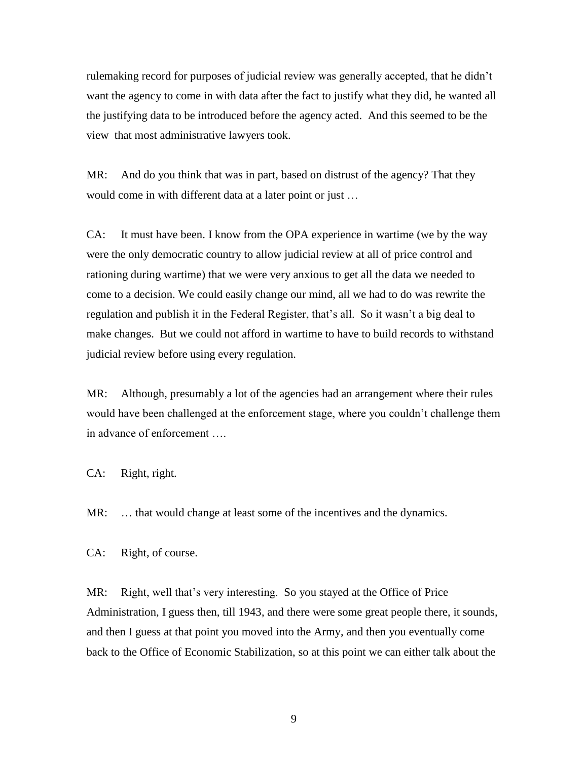rulemaking record for purposes of judicial review was generally accepted, that he didn't want the agency to come in with data after the fact to justify what they did, he wanted all the justifying data to be introduced before the agency acted. And this seemed to be the view that most administrative lawyers took.

MR: And do you think that was in part, based on distrust of the agency? That they would come in with different data at a later point or just …

CA: It must have been. I know from the OPA experience in wartime (we by the way were the only democratic country to allow judicial review at all of price control and rationing during wartime) that we were very anxious to get all the data we needed to come to a decision. We could easily change our mind, all we had to do was rewrite the regulation and publish it in the Federal Register, that's all. So it wasn't a big deal to make changes. But we could not afford in wartime to have to build records to withstand judicial review before using every regulation.

MR: Although, presumably a lot of the agencies had an arrangement where their rules would have been challenged at the enforcement stage, where you couldn't challenge them in advance of enforcement ….

CA: Right, right.

MR: ... that would change at least some of the incentives and the dynamics.

CA: Right, of course.

MR: Right, well that's very interesting. So you stayed at the Office of Price Administration, I guess then, till 1943, and there were some great people there, it sounds, and then I guess at that point you moved into the Army, and then you eventually come back to the Office of Economic Stabilization, so at this point we can either talk about the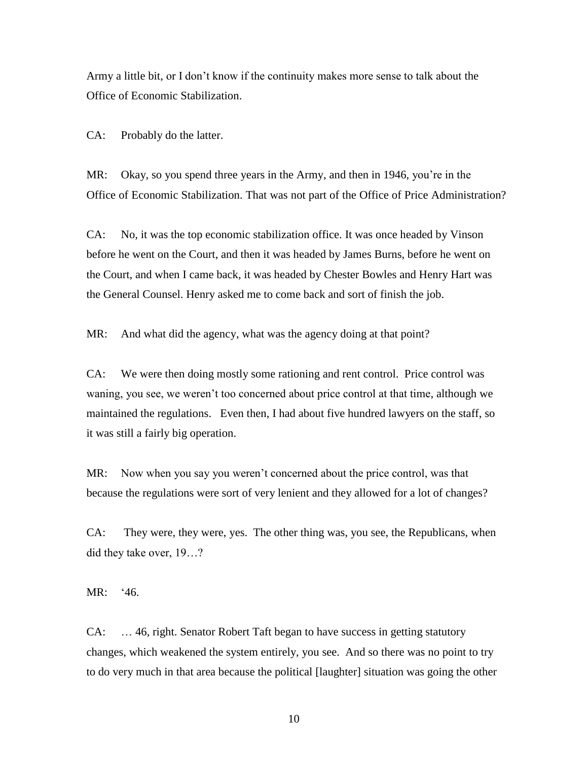Army a little bit, or I don't know if the continuity makes more sense to talk about the Office of Economic Stabilization.

CA: Probably do the latter.

MR: Okay, so you spend three years in the Army, and then in 1946, you're in the Office of Economic Stabilization. That was not part of the Office of Price Administration?

CA: No, it was the top economic stabilization office. It was once headed by Vinson before he went on the Court, and then it was headed by James Burns, before he went on the Court, and when I came back, it was headed by Chester Bowles and Henry Hart was the General Counsel. Henry asked me to come back and sort of finish the job.

MR: And what did the agency, what was the agency doing at that point?

CA: We were then doing mostly some rationing and rent control. Price control was waning, you see, we weren't too concerned about price control at that time, although we maintained the regulations. Even then, I had about five hundred lawyers on the staff, so it was still a fairly big operation.

MR: Now when you say you weren't concerned about the price control, was that because the regulations were sort of very lenient and they allowed for a lot of changes?

CA: They were, they were, yes. The other thing was, you see, the Republicans, when did they take over, 19…?

MR: '46.

CA: … 46, right. Senator Robert Taft began to have success in getting statutory changes, which weakened the system entirely, you see. And so there was no point to try to do very much in that area because the political [laughter] situation was going the other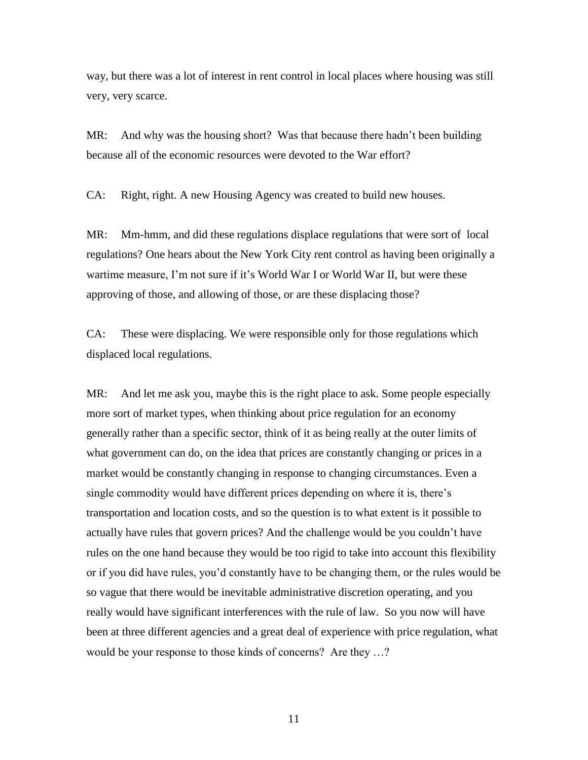way, but there was a lot of interest in rent control in local places where housing was still very, very scarce.

MR: And why was the housing short? Was that because there hadn't been building because all of the economic resources were devoted to the War effort?

CA: Right, right. A new Housing Agency was created to build new houses.

MR: Mm-hmm, and did these regulations displace regulations that were sort of local regulations? One hears about the New York City rent control as having been originally a wartime measure, I'm not sure if it's World War I or World War II, but were these approving of those, and allowing of those, or are these displacing those?

CA: These were displacing. We were responsible only for those regulations which displaced local regulations.

MR: And let me ask you, maybe this is the right place to ask. Some people especially more sort of market types, when thinking about price regulation for an economy generally rather than a specific sector, think of it as being really at the outer limits of what government can do, on the idea that prices are constantly changing or prices in a market would be constantly changing in response to changing circumstances. Even a single commodity would have different prices depending on where it is, there's transportation and location costs, and so the question is to what extent is it possible to actually have rules that govern prices? And the challenge would be you couldn't have rules on the one hand because they would be too rigid to take into account this flexibility or if you did have rules, you'd constantly have to be changing them, or the rules would be so vague that there would be inevitable administrative discretion operating, and you really would have significant interferences with the rule of law. So you now will have been at three different agencies and a great deal of experience with price regulation, what would be your response to those kinds of concerns? Are they …?